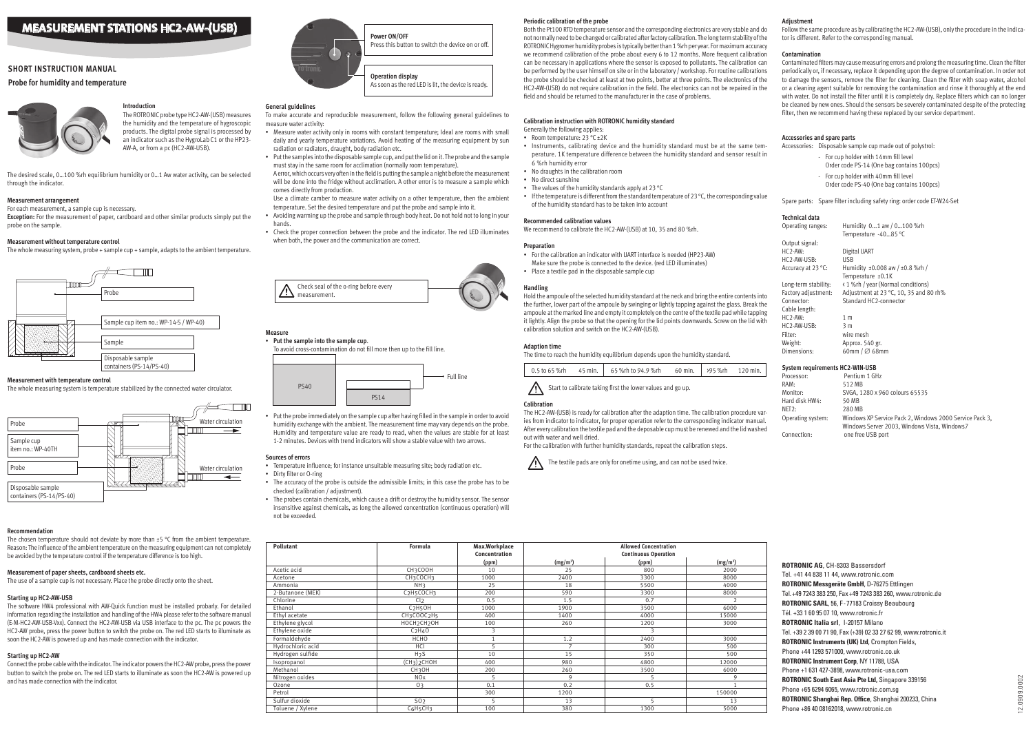**ROTRONIC AG**, CH-8303 Bassersdorf Tel. +41 44 838 11 44, www.rotronic.com **ROTRONIC Messgeräte GmbH**, D-76275 Ettlingen Tel.+49 7243 383 250, Fax+49 7243 383 260, www.rotronic.de **ROTRONIC SARL**, 56, F-77183 Croissy Beaubourg Tél. +33 1 60 95 07 10, www.rotronic.fr **ROTRONIC Italia srl**, 1-20157 Milano Tel. +39 2 39 00 71 90, Fax (+39) 02 33 27 62 99, www.rotronic.it **ROTRONIC Instruments (UK) Ltd**, Crompton Fields, Phone +44 1293 571000, www.rotronic.co.uk **ROTRONIC Instrument Corp**, NY 11788, USA Phone +1 631 427-3898, www.rotronic-usa.com **ROTRONIC South East Asia Pte Ltd,** Singapore 339156 Phone +65 6294 6065, www.rotronic.com.sg **ROTRONIC Shanghai Rep. Office**, Shanghai 200233, China Phone +86 40 08162018, www.rotronic.cn

# **Introduction**

The ROTRONIC probe type HC2-AW-(USB) measures the humidity and the temperature of hygroscopic products. The digital probe signal is processed by an indicator such as the HygroLab C1 or the HP23- AW-A, or from a pc (HC2-AW-USB).

The chosen temperature should not deviate by more than  $\pm 5$  °C from the ambient temperature. Reason: The influence of the ambient temperature on the measuring equipment can not completely be avoided by the temperature control if the temperature difference is too high.

The desired scale, 0…100 %rh equilibrium humidity or 0…1 Aw water activity, can be selected through the indicator.

#### **Measurement arrangement**

For each measurement, a sample cup is necessary.

**Exception:** For the measurement of paper, cardboard and other similar products simply put the probe on the sample.

#### **Measurement without temperature control**

The whole measuring system, probe + sample cup + sample, adapts to the ambient temperature.

# **Probe for humidity and temperature**



# **Short instruction manual**

#### **Measurement with temperature control**

The whole measuring system is temperature stabilized by the connected water circulator.

# **Recommendation**

#### **Measurement of paper sheets, cardboard sheets etc.**

The use of a sample cup is not necessary. Place the probe directly onto the sheet.

#### **Starting up HC2-AW-USB**

The software HW4 professional with AW-Quick function must be installed probarly. For detailed information regarding the installation and handling of the HW4 please refer to the software manual (E-M-HC2-AW-USB-Vxx). Connect the HC2-AW-USB via USB interface to the pc. The pc powers the HC2-AW probe, press the power button to switch the probe on. The red LED starts to illuminate as soon the HC2-AW is powered up and has made connection with the indicator.

# **Starting up HC2-AW**

Connect the probe cable with the indicator. The indicator powers the HC2-AW probe, press the power button to switch the probe on. The red LED starts to illuminate as soon the HC2-AW is powered up and has made connection with the indicator.

#### **General guidelines**

- To make accurate and reproducible measurement, follow the following general guidelines to measure water activity:
- Measure water activity only in rooms with constant temperature; Ideal are rooms with small daily and yearly temperature variations. Avoid heating of the measuring equipment by sun radiation or radiators, draught, body radiation etc.
- Put the samples into the disposable sample cup, and put the lid on it. The probe and the sample must stay in the same room for acclimation (normally room temperature).
- A error, which occurs very often in the field is putting the sample a night before the measurement will be done into the fridge without acclimation. A other error is to measure a sample which comes directly from production.

Use a climate camber to measure water activity on a other temperature, then the ambient temperature. Set the desired temperature and put the probe and sample into it.

- Avoiding warming up the probe and sample through body heat. Do not hold not to long in your hands.
- Check the proper connection between the probe and the indicator. The red LED illuminates when both, the power and the communication are correct.



# **Measure**

• **Put the sample into the sample cup**. To avoid cross-contamination do not fill more then up to the fill line.

• Put the probe immediately on the sample cup after having filled in the sample in order to avoid humidity exchange with the ambient. The measurement time may vary depends on the probe. Humidity and temperature value are ready to read, when the values are stable for at least 1-2 minutes. Devices with trend indicators will show a stable value with two arrows.

#### **Sources of errors**

- Temperature influence; for instance unsuitable measuring site; body radiation etc.
- Dirty filter or O-ring
- The accuracy of the probe is outside the admissible limits; in this case the probe has to be checked (calibration / adjustment).
- The probes contain chemicals, which cause a drift or destroy the humidity sensor. The sensor insensitive against chemicals, as long the allowed concentration (continuous operation) will not be exceeded.

Operating ranges: Humidity 0...1 aw / 0…100 %rh Temperature -40…85 °C Output signal: HC2-AW: Digital UART HC2-AW-USB: USB Accuracy at 23 °C: Humidity  $\pm 0.008$  aw /  $\pm 0.8$  %rh / Temperature +0.1K Long-term stability: < 1 %rh / year (Normal conditions) Factory adjustment: Adjustment at 23 °C, 10, 35 and 80 rh% Connector: Standard HC2-connector Cable length:  $H \cap 2$ -AW $\cdot$  1 m HC2-AW-USB: 3 m Filter: wire mesh Weight: Approx. 540 gr. Dimensions: 60mm / ∅ 68mm



| Pollutant         | Formula                                         | Max.Workplace |                      | <b>Allowed Concentration</b> |            |
|-------------------|-------------------------------------------------|---------------|----------------------|------------------------------|------------|
|                   |                                                 | Concentration |                      | <b>Continuous Operation</b>  |            |
|                   |                                                 | (ppm)         | (mg/m <sup>3</sup> ) | (ppm)                        | $(mg/m^3)$ |
| Acetic acid       | CH3COOH                                         | 10            | 25                   | 800                          | 2000       |
| Acetone           | CH3COCH3                                        | 1000          | 2400                 | 3300                         | 8000       |
| Ammonia           | NH <sub>3</sub>                                 | 25            | 18                   | 5500                         | 4000       |
| 2-Butanone (MEK)  | C <sub>2</sub> H <sub>5</sub> COCH <sub>3</sub> | 200           | 590                  | 3300                         | 8000       |
| Chlorine          | Cl <sub>2</sub>                                 | 0.5           | 1.5                  | 0.7                          |            |
| Ethanol           | C <sub>2</sub> H <sub>5</sub> OH                | 1000          | 1900                 | 3500                         | 6000       |
| Ethyl acetate     | CH3COOC2H5                                      | 400           | 1400                 | 4000                         | 15000      |
| Ethylene glycol   | HOCH <sub>2</sub> CH <sub>2</sub> OH            | 100           | 260                  | 1200                         | 3000       |
| Ethylene oxide    | C <sub>2</sub> H <sub>4</sub> O                 | 3             |                      | 3                            |            |
| Formaldehyde      | HCHO                                            |               | 1.2                  | 2400                         | 3000       |
| Hydrochloric acid | HCl                                             |               | $\overline{7}$       | 300                          | 500        |
| Hydrogen sulfide  | H <sub>2</sub> S                                | 10            | 15                   | 350                          | 500        |
| Isopropanol       | (CH <sub>3</sub> ) <sub>2</sub> CHOH            | 400           | 980                  | 4800                         | 12000      |
| Methanol          | CH <sub>3</sub> OH                              | 200           | 260                  | 3500                         | 6000       |
| Nitrogen oxides   | <b>NOx</b>                                      |               | $\mathsf Q$          |                              | 9          |
| Ozone             | 0 <sub>3</sub>                                  | 0.1           | 0.2                  | 0.5                          |            |
| Petrol            |                                                 | 300           | 1200                 |                              | 150000     |
| Sulfur dioxide    | 50 <sub>2</sub>                                 |               | 13                   |                              | 13         |
| Toluene / Xylene  | C6H5CH3                                         | 100           | 380                  | 1300                         | 5000       |

#### **Periodic calibration of the probe**





Both the Pt100 RTD temperature sensor and the corresponding electronics are very stable and do not normally need to be changed or calibrated after factory calibration. The long term stability of the ROTRONIC Hygromer humidity probes is typically better than 1 %rh per year. For maximum accuracy we recommend calibration of the probe about every 6 to 12 months. More frequent calibration can be necessary in applications where the sensor is exposed to pollutants. The calibration can be performed by the user himself on site or in the laboratory / workshop. For routine calibrations the probe should be checked at least at two points, better at three points. The electronics of the HC2-AW-(USB) do not require calibration in the field. The electronics can not be repaired in the field and should be returned to the manufacturer in the case of problems.

#### **Calibration instruction with ROTRONIC humidity standard**

- Generally the following applies:
	- Room temperature: 23 °C ± 2K
	- Instruments, calibrating device and the humidity standard must be at the same temperature. 1K temperature difference between the humidity standard and sensor result in 6 %rh humidity error
- No draughts in the calibration room
- No direct sunshine
- The values of the humidity standards apply at 23 °C
- If the temperature is different from the standard temperature of 23 °C, the corresponding value of the humidity standard has to be taken into account

#### **Recommended calibration values**

We recommend to calibrate the HC2-AW-(USB) at 10, 35 and 80 %rh.

#### **Preparation**

- For the calibration an indicator with UART interface is needed (HP23-AW)
- Make sure the probe is connected to the device. (red LED illuminates)
- Place a textile pad in the disposable sample cup

#### **Handling**

Hold the ampoule of the selected humidity standard at the neck and bring the entire contents into the further, lower part of the ampoule by swinging or lightly tapping against the glass. Break the ampoule at the marked line and empty it completely on the centre of the textile pad while tapping it lightly. Align the probe so that the opening for the lid points downwards. Screw on the lid with calibration solution and switch on the HC2-AW-(USB).

#### **Adaption time**

The time to reach the humidity equilibrium depends upon the humidity standard.

|  | 0.5 to 65 %rh  45 min.   65 %rh to 94.9 %rh  60 min.   >95 %rh  120 min. |  |  |
|--|--------------------------------------------------------------------------|--|--|
|  |                                                                          |  |  |

Start to calibrate taking first the lower values and go up.

#### **Calibration**

The HC2-AW-(USB) is ready for calibration after the adaption time. The calibration procedure varies from indicator to indicator, for proper operation refer to the corresponding indicator manual. After every calibration the textile pad and the deposable cup must be renewed and the lid washed out with water and well dried.

For the calibration with further humidity standards, repeat the calibration steps.



The textile pads are only for onetime using, and can not be used twice.

#### **Adjustment**

Follow the same procedure as by calibrating the HC2-AW-(USB), only the procedure in the indicator is different. Refer to the corresponding manual.

#### **Contamination**

Contaminated filters may cause measuring errors and prolong the measuring time. Clean the filter periodically or, if necessary, replace it depending upon the degree of contamination. In order not to damage the sensors, remove the filter for cleaning. Clean the filter with soap water, alcohol or a cleaning agent suitable for removing the contamination and rinse it thoroughly at the end with water. Do not install the filter until it is completely dry. Replace filters which can no longer be cleaned by new ones. Should the sensors be severely contaminated despite of the protecting filter, then we recommend having these replaced by our service department.

#### **Accessories and spare parts**

Accessories: Disposable sample cup made out of polystrol:

- For cup holder with 14mm fill level
- Order code PS-14 (One bag contains 100pcs)
- For cup holder with 40mm fill level
- Order code PS-40 (One bag contains 100pcs)

Spare parts: Spare filter including safety ring: order code ET-W24-Set

#### **Technical data**

#### **System requirements HC2-WIN-USB**

Processor: Pentium 1 GHz RAM: 512 MB<br>Monitor: 5VGA. 1 SVGA, 1280 x 960 colours 65535 Hard disk HW4: 50 MB NET2: 280 MB Operating system: Windows XP Service Pack 2, Windows 2000 Service Pack 3, Windows Server 2003, Windows Vista, Windows7 Connection: one free USB port

# **Operation display** As soon as the red LED is lit, the device is ready. Press this button to switch the device on or off.

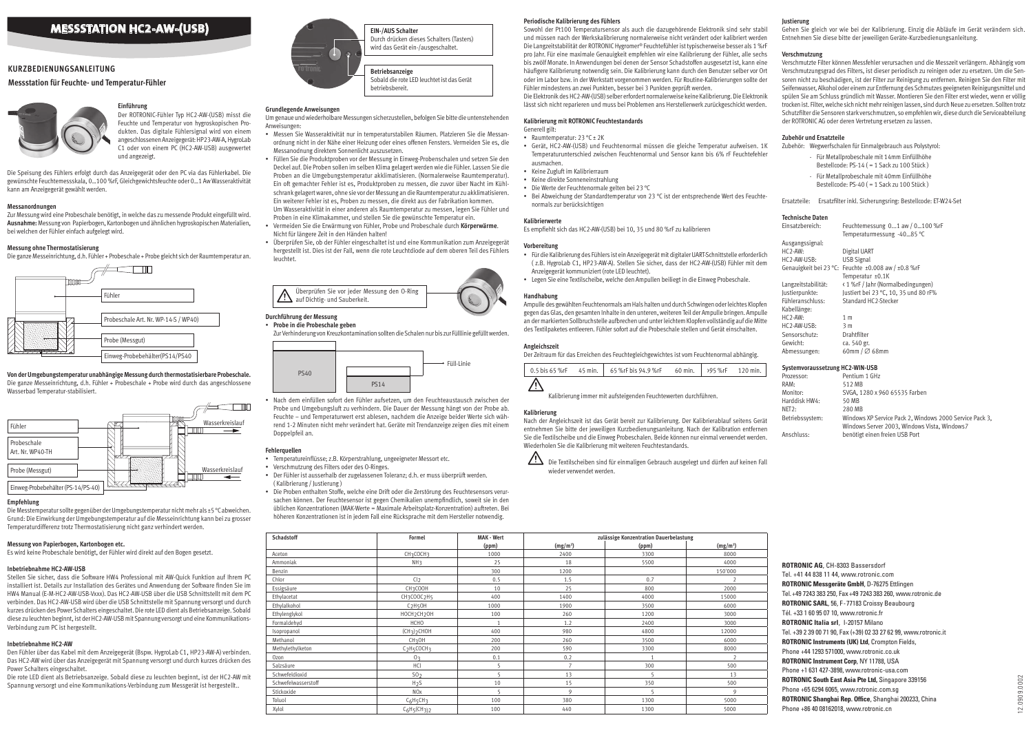**ROTRONIC AG**, CH-8303 Bassersdorf Tel. +41 44 838 11 44, www.rotronic.com **ROTRONIC Messgeräte GmbH**, D-76275 Ettlingen Tel.+49 7243 383 250, Fax+49 7243 383 260, www.rotronic.de **ROTRONIC SARL**, 56, F-77183 Croissy Beaubourg Tél. +33 1 60 95 07 10, www.rotronic.fr **ROTRONIC Italia srl**, I-20157 Milano Tel. +39 2 39 00 71 90, Fax (+39) 02 33 27 62 99, www.rotronic.it **ROTRONIC Instruments (UK) Ltd**, Crompton Fields, Phone +44 1293 571000, www.rotronic.co.uk **ROTRONIC Instrument Corp**, NY 11788, USA Phone +1 631 427-3898, www.rotronic-usa.com **ROTRONIC South East Asia Pte Ltd,** Singapore 339156 Phone +65 6294 6065, www.rotronic.com.sg **ROTRONIC Shanghai Rep. Office**, Shanghai 200233, China Phone +86 40 08162018, www.rotronic.cn

#### **Einführung**

Der ROTRONIC-Fühler Typ HC2-AW-(USB) misst die Feuchte und Temperatur von hygroskopischen Produkten. Das digitale Fühlersignal wird von einem angeschlossenen Anzeigegerät: HP23-AW-A, HygroLab C1 oder von einem PC (HC2-AW-USB) ausgewertet und angezeigt.

Die Speisung des Fühlers erfolgt durch das Anzeigegerät oder den PC via das Fühlerkabel. Die gewünschte Feuchtemessskala, 0…100 %rF, Gleichgewichtsfeuchte oder 0…1 Aw Wasseraktivität kann am Anzeigegerät gewählt werden.

#### **Messanordnungen**

Zur Messung wird eine Probeschale benötigt, in welche das zu messende Produkt eingefüllt wird. **Ausnahme:** Messung von Papierbogen, Kartonbogen und ähnlichen hygroskopischen Materialien, bei welchen der Fühler einfach aufgelegt wird.

#### **Messung ohne Thermostatisierung**

Die ganze Messeinrichtung, d.h. Fühler + Probeschale + Probe gleicht sich der Raumtemperatur an.

#### **Messstation für Feuchte- und Temperatur-Fühler**



# **Kurzbedienungsanleitung**





**Von der Umgebungstemperatur unabhängige Messung durch thermostatisierbare Probeschale.** Die ganze Messeinrichtung, d.h. Fühler + Probeschale + Probe wird durch das angeschlossene Wasserbad Temperatur-stabilisiert.

#### **Empfehlung**

Die Messtemperatur sollte gegenüber der Umgebungstemperatur nicht mehr als ±5 °C abweichen. Grund: Die Einwirkung der Umgebungstemperatur auf die Messeinrichtung kann bei zu grosser Temperaturdifferenz trotz Thermostatisierung nicht ganz verhindert werden.

#### **Messung von Papierbogen, Kartonbogen etc.**

Es wird keine Probeschale benötigt, der Fühler wird direkt auf den Bogen gesetzt.

#### **Inbetriebnahme HC2-AW-USB**

Stellen Sie sicher, dass die Software HW4 Professional mit AW-Quick Funktion auf Ihrem PC installiert ist. Details zur Installation des Gerätes und Anwendung der Software finden Sie im HW4 Manual (E-M-HC2-AW-USB-Vxxx). Das HC2-AW-USB über die USB Schnittstellt mit dem PC verbinden. Das HC2-AW-USB wird über die USB Schnittstelle mit Spannung versorgt und durch kurzes drücken des Power Schalters eingeschaltet. Die rote LED dient als Betriebsanzeige. Sobald diese zu leuchten beginnt, ist der HC2-AW-USB mit Spannung versorgt und eine Kommunikations-Verbindung zum PC ist hergestellt.

#### **Inbetriebnahme HC2-AW**

Den Fühler über das Kabel mit dem Anzeigegerät (Bspw. HygroLab C1, HP23-AW-A) verbinden. Das HC2-AW wird über das Anzeigegerät mit Spannung versorgt und durch kurzes drücken des Power Schalters eingeschaltet.

Die rote LED dient als Betriebsanzeige. Sobald diese zu leuchten beginnt, ist der HC2-AW mit Spannung versorgt und eine Kommunikations-Verbindung zum Messgerät ist hergestellt..



**Betriebsanzeige** Sobald die rote LED leuchtet ist das Gerät betriebsbereit.

**EIN-/AUS Schalter** Durch drücken dieses Schalters (Tasters) wird das Gerät ein-/ausgeschaltet.

#### **Grundlegende Anweisungen**

Um genaue und wiederholbare Messungen sicherzustellen, befolgen Sie bitte die untenstehenden Anweisungen:

- Raumtemperatur: 23 °C ± 2K
- Gerät, HC2-AW-(USB) und Feuchtenormal müssen die gleiche Temperatur aufweisen. 1K Temperaturunterschied zwischen Feuchtenormal und Sensor kann bis 6% rF Feuchtefehler ausmachen.
- Keine Zugluft im Kalibrierraum
- Keine direkte Sonneneinstrahlung
- Die Werte der Feuchtenormale gelten bei 23 °C
- Bei Abweichung der Standardtemperatur von 23 °C ist der entsprechende Wert des Feuchtenormals zur berücksichtigen
- Messen Sie Wasseraktivität nur in temperaturstabilen Räumen. Platzieren Sie die Messanordnung nicht in der Nähe einer Heizung oder eines offenen Fensters. Vermeiden Sie es, die Messanodnung direktem Sonnenlicht auszusetzen.
- Füllen Sie die Produktproben vor der Messung in Einweg-Probenschalen und setzen Sie den Deckel auf. Die Proben sollen im selben Klima gelagert werden wie die Fühler. Lassen Sie die Proben an die Umgebungstemperatur akklimatisieren. (Normalerweise Raumtemperatur). Ein oft gemachter Fehler ist es, Produktproben zu messen, die zuvor über Nacht im Kühlschrank gelagert waren, ohne sie vor der Messung an die Raumtemperatur zu akklimatisieren. Ein weiterer Fehler ist es, Proben zu messen, die direkt aus der Fabrikation kommen. Um Wasseraktivität in einer anderen als Raumtemperatur zu messen, legen Sie Fühler und Proben in eine Klimakammer, und stellen Sie die gewünschte Temperatur ein.
- Vermeiden Sie die Erwärmung von Fühler, Probe und Probeschale durch **Körperwärme**. Nicht für längere Zeit in den Händen halten!

• Überprüfen Sie, ob der Fühler eingeschaltet ist und eine Kommunikation zum Anzeigegerät hergestellt ist. Dies ist der Fall, wenn die rote Leuchtdiode auf dem oberen Teil des Fühlers leuchtet.

> $\sum$  Die Textilscheiben sind für einmaligen Gebrauch ausgelegt und dürfen auf keinen Fall wieder verwendet werden.



#### • **Probe in die Probeschale geben**

Zur Verhinderung von Kreuzkontamination sollten die Schalen nur bis zur Fülllinie gefüllt werden.

• Nach dem einfüllen sofort den Fühler aufsetzen, um den Feuchteaustausch zwischen der Probe und Umgebungsluft zu verhindern. Die Dauer der Messung hängt von der Probe ab. Feuchte – und Temperaturwert erst ablesen, nachdem die Anzeige beider Werte sich während 1-2 Minuten nicht mehr verändert hat. Geräte mit Trendanzeige zeigen dies mit einem Doppelpfeil an.

#### **Fehlerquellen**

- Temperatureinflüsse; z.B. Körperstrahlung, ungeeigneter Messort etc.
- Verschmutzung des Filters oder des O-Ringes.
- Der Fühler ist ausserhalb der zugelassenen Toleranz; d.h. er muss überprüft werden. ( Kalibrierung / Justierung )
- Die Proben enthalten Stoffe, welche eine Drift oder die Zerstörung des Feuchtesensors verursachen können. Der Feuchtesensor ist gegen Chemikalien unempfindlich, soweit sie in den üblichen Konzentrationen (MAK-Werte = Maximale Arbeitsplatz-Konzentration) auftreten. Bei höheren Konzentrationen ist in jedem Fall eine Rücksprache mit dem Hersteller notwendig.



| <b>Schadstoff</b>   | <b>Formel</b>                        | <b>MAK - Wert</b> | zulässige Konzentration Dauerbelastung |       |                      |
|---------------------|--------------------------------------|-------------------|----------------------------------------|-------|----------------------|
|                     |                                      | (ppm)             | (mg/m <sup>3</sup> )                   | (ppm) | (mg/m <sup>3</sup> ) |
| Aceton              | CH3COCH3                             | 1000              | 2400                                   | 3300  | 8000                 |
| Ammoniak            | NH <sub>3</sub>                      | 25                | 18                                     | 5500  | 4000                 |
| Benzin              |                                      | 300               | 1200                                   |       | 150'000              |
| Chlor               | Cl <sub>2</sub>                      | 0.5               | 1.5                                    | 0.7   | $\overline{2}$       |
| Essigsäure          | CH3COOH                              | 10                | 25                                     | 800   | 2000                 |
| Ethylacetat         | CH3COOC2H5                           | 400               | 1400                                   | 4000  | 15000                |
| Ethylalkohol        | C <sub>2</sub> H <sub>5</sub> OH     | 1000              | 1900                                   | 3500  | 6000                 |
| Ethylenglykol       | HOCH <sub>2</sub> CH <sub>2</sub> OH | 100               | 260                                    | 1200  | 3000                 |
| Formaldehyd         | <b>HCHO</b>                          | $\overline{1}$    | 1.2                                    | 2400  | 3000                 |
| Isopropanol         | (CH <sub>3</sub> ) <sub>2</sub> CHOH | 400               | 980                                    | 4800  | 12000                |
| Methanol            | CH <sub>3</sub> OH                   | 200               | 260                                    | 3500  | 6000                 |
| Methylethylketon    | C <sub>2</sub> H <sub>5</sub> COCH3  | 200               | 590                                    | 3300  | 8000                 |
| Ozon                | 0 <sub>3</sub>                       | 0.1               | 0.2                                    |       | $\overline{2}$       |
| Salzsäure           | HCl                                  | 5                 | $\overline{7}$                         | 300   | 500                  |
| Schwefeldioxid      | S0 <sub>2</sub>                      | 5                 | 13                                     | 5     | 13                   |
| Schwefelwasserstoff | H <sub>2</sub> S                     | 10                | 15                                     | 350   | 500                  |
| Stickoxide          | <b>NOx</b>                           |                   | 9                                      |       | 9                    |
| Toluol              | $C_6H_5CH_3$                         | 100               | 380                                    | 1300  | 5000                 |
| Xylol               | $C_6H_5CH_3$ ) <sub>2</sub>          | 100               | 440                                    | 1300  | 5000                 |

|  | Periodische Kalibrierung des Fühlers |  |
|--|--------------------------------------|--|
|--|--------------------------------------|--|

Sowohl der Pt100 Temperatursensor als auch die dazugehörende Elektronik sind sehr stabil und müssen nach der Werkskalibrierung normalerweise nicht verändert oder kalibriert werden Die Langzeitstabilität der ROTRONIC Hygromer® Feuchtefühler ist typischerweise besser als 1 %rF pro Jahr. Für eine maximale Genauigkeit empfehlen wir eine Kalibrierung der Fühler, alle sechs bis zwölf Monate. In Anwendungen bei denen der Sensor Schadstoffen ausgesetzt ist, kann eine häufigere Kalibrierung notwendig sein. Die Kalibrierung kann durch den Benutzer selber vor Ort oder im Labor bzw. in der Werkstatt vorgenommen werden. Für Routine-Kalibrierungen sollte der Fühler mindestens an zwei Punkten, besser bei 3 Punkten geprüft werden.

Die Elektronik des HC2-AW-(USB) selber erfordert normalerweise keine Kalibrierung. Die Elektronik lässt sich nicht reparieren und muss bei Problemen ans Herstellerwerk zurückgeschickt werden.

#### **Kalibrierung mit ROTRONIC Feuchtestandards**

#### Generell gilt:

#### **Kalibrierwerte**

Es empfiehlt sich das HC2-AW-(USB) bei 10, 35 und 80 %rF zu kalibrieren

#### **Vorbereitung**

- Für die Kalibrierung des Fühlers ist ein Anzeigegerät mit digitaler UART-Schnittstelle erforderlich ( z.B. HygroLab C1, HP23-AW-A). Stellen Sie sicher, dass der HC2-AW-(USB) Fühler mit dem Anzeigegerät kommuniziert (rote LED leuchtet).
- Legen Sie eine Textilscheibe, welche den Ampullen beiliegt in die Einweg Probeschale.

#### **Handhabung**

Ampulle des gewählten Feuchtenormals am Hals halten und durch Schwingen oder leichtes Klopfen gegen das Glas, den gesamten Inhalte in den unteren, weiteren Teil der Ampulle bringen. Ampulle an der markierten Sollbruchstelle aufbrechen und unter leichtem Klopfen vollständig auf die Mitte des Textilpaketes entleeren. Fühler sofort auf die Probeschale stellen und Gerät einschalten.

#### **Angleichszeit**

Der Zeitraum für das Erreichen des Feuchtegleichgewichtes ist vom Feuchtenormal abhängig.



Kalibrierung immer mit aufsteigenden Feuchtewerten durchführen.

#### **Kalibrierung**

Nach der Angleichszeit ist das Gerät bereit zur Kalibrierung. Der Kalibrierablauf seitens Gerät entnehmen Sie bitte der jeweiligen Kurzbedienungsanleitung. Nach der Kalibration entfernen Sie die Textilscheibe und die Einweg Probeschalen. Beide können nur einmal verwendet werden. Wiederholen Sie die Kalibrierung mit weiteren Feuchtestandards.



#### **Justierung**

Gehen Sie gleich vor wie bei der Kalibrierung. Einzig die Abläufe im Gerät verändern sich. Entnehmen Sie diese bitte der jeweiligen Geräte-Kurzbedienungsanleitung.

#### **Verschmutzung**

Verschmutzte Filter können Messfehler verursachen und die Messzeit verlängern. Abhängig vom Verschmutzungsgrad des Filters, ist dieser periodisch zu reinigen oder zu ersetzen. Um die Sensoren nicht zu beschädigen, ist der Filter zur Reinigung zu entfernen. Reinigen Sie den Filter mit Seifenwasser, Alkohol oder einem zur Entfernung des Schmutzes geeigneten Reinigungsmittel und spülen Sie am Schluss gründlich mit Wasser. Montieren Sie den Filter erst wieder, wenn er völlig trocken ist. Filter, welche sich nicht mehr reinigen lassen, sind durch Neue zu ersetzen. Sollten trotz Schutzfilter die Sensoren stark verschmutzen, so empfehlen wir, diese durch die Serviceabteilung der ROTRONIC AG oder deren Vertretung ersetzen zu lassen.

#### **Zubehör und Ersatzteile**

Zubehör: Wegwerfschalen für Einmalgebrauch aus Polystyrol:

- Für Metallprobeschale mit 14mm Einfüllhöhe Bestellcode: PS-14 ( = 1 Sack zu 100 Stück )
- Für Metallprobeschale mit 40mm Einfüllhöhe Bestellcode: PS-40 ( = 1 Sack zu 100 Stück )

Ersatzteile: Ersatzfilter inkl. Sicherungsring: Bestellcode: ET-W24-Set

#### **Technische Daten**

| Einsatzbereich:     | Feuchtemessung $01$ aw / $0100$ %rF<br>Temperaturmessung -4085 °C |
|---------------------|-------------------------------------------------------------------|
| Ausgangssignal:     |                                                                   |
| $HC2$ -AW:          | Digital UART                                                      |
| HC2-AW-USB:         | USB Signal                                                        |
|                     | Genauigkeit bei 23 °C: Feuchte ±0.008 aw / ±0.8 %rF               |
|                     | Temperatur ±0.1K                                                  |
| Langzeitstabilität: | < 1 %rF / Jahr (Normalbedingungen)                                |
| Justierpunkte:      | Justiert bei 23 °C, 10, 35 und 80 rF%                             |
| Fühleranschluss:    | Standard HC2-Stecker                                              |
| Kabellänge:         |                                                                   |
| $HC2$ -AW:          | 1 <sub>m</sub>                                                    |
| HC2-AW-USB:         | 3 m                                                               |
| Sensorschutz:       | Drahtfilter                                                       |
| Gewicht:            | ca. 540 gr.                                                       |
| Abmessungen:        | 60mm / $\varnothing$ 68mm                                         |
|                     |                                                                   |

#### **Systemvoraussetzung HC2-WIN-USB**

| Prozessor:      | Pentium 1 GHz                                                                                           |
|-----------------|---------------------------------------------------------------------------------------------------------|
| RAM:            | 512 MB                                                                                                  |
| Monitor:        | SVGA, 1280 x 960 65535 Farben                                                                           |
| Harddisk HW4:   | 50 MB                                                                                                   |
| NET2:           | 280 MB                                                                                                  |
| Betriebssystem: | Windows XP Service Pack 2, Windows 2000 Service Pack 3,<br>Windows Server 2003, Windows Vista, Windows7 |
| Anschluss:      | benötigt einen freien USB Port                                                                          |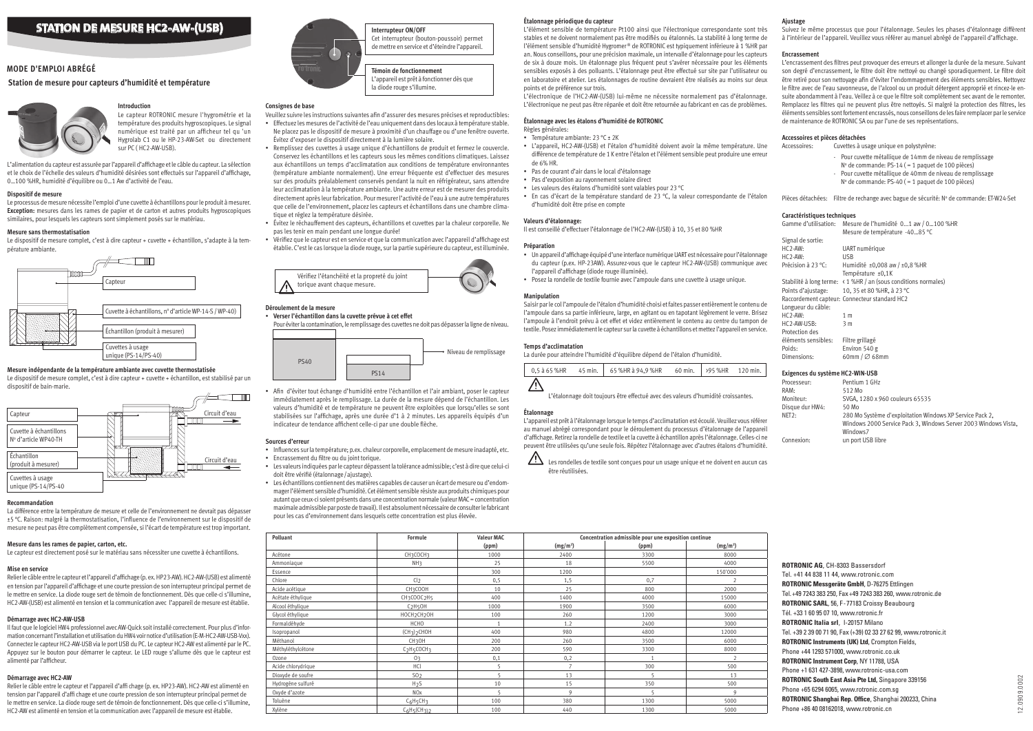**ROTRONIC AG**, CH-8303 Bassersdorf Tel. +41 44 838 11 44, www.rotronic.com **ROTRONIC Messgeräte GmbH**, D-76275 Ettlingen Tel.+49 7243 383 250, Fax+49 7243 383 260, www.rotronic.de **ROTRONIC SARL**, 56, F-77183 Croissy Beaubourg Tél. +33 1 60 95 07 10, www.rotronic.fr **ROTRONIC Italia srl**, I-20157 Milano Tel. +39 2 39 00 71 90, Fax (+39) 02 33 27 62 99, www.rotronic.it **ROTRONIC Instruments (UK) Ltd**, Crompton Fields, Phone +44 1293 571000, www.rotronic.co.uk **ROTRONIC Instrument Corp**, NY 11788, USA Phone +1 631 427-3898, www.rotronic-usa.com **ROTRONIC South East Asia Pte Ltd,** Singapore 339156 Phone +65 6294 6065, www.rotronic.com.sg **ROTRONIC Shanghai Rep. Office**, Shanghai 200233, China Phone +86 40 08162018, www.rotronic.cn

Le capteur ROTRONIC mesure l'hygrométrie et la température des produits hygroscopiques. Le signal numérique est traité par un afficheur tel qu 'un Hygrolab C1 ou le HP-23-AW-Set ou directement sur PC ( HC2-AW-USB).

# **Mode d'emploi abrégé**

# **Introduction**

L'alimentation du capteur est assurée par l'appareil d'affichage et le câble du capteur. La sélection et le choix de l'échelle des valeurs d'humidité désirées sont effectués sur l'appareil d'affichage, 0…100 %HR, humidité d'équilibre ou 0…1 Aw d'activité de l'eau.

#### **Dispositif de mesure**

Le processus de mesure nécessite l'emploi d'une cuvette à échantillons pour le produit à mesurer. **Exception:** mesures dans les rames de papier et de carton et autres produits hygroscopiques similaires, pour lesquels les capteurs sont simplement posés sur le matériau.

#### **Mesure sans thermostatisation**

Le dispositif de mesure complet, c'est à dire capteur + cuvette + échantillon, s'adapte à la température ambiante.

# **Station de mesure pour capteurs d'humidité et température**



#### **Mesure indépendante de la température ambiante avec cuvette thermostatisée**

Le dispositif de mesure complet, c'est à dire capteur + cuvette + échantillon, est stabilisé par un dispositif de bain-marie.

#### **Recommandation**

La différence entre la température de mesure et celle de l'environnement ne devrait pas dépasser ±5 °C. Raison: malgré la thermostatisation, l'influence de l'environnement sur le dispositif de mesure ne peut pas être complètement compensée, si l'écart de température est trop important.

#### **Mesure dans les rames de papier, carton, etc.**

Le capteur est directement posé sur le matériau sans nécessiter une cuvette à échantillons.

#### **Mise en service**

Relier le câble entre le capteur et l'appareil d'affichage (p. ex. HP23-AW). HC2-AW-(USB) est alimenté en tension par l'appareil d'affichage et une courte pression de son interrupteur principal permet de le mettre en service. La diode rouge sert de témoin de fonctionnement. Dès que celle-ci s'illumine, HC2-AW-(USB) est alimenté en tension et la communication avec l'appareil de mesure est établie.

#### **Démarrage avec HC2-AW-USB**

Il faut que le logiciel HW4 professionnel avec AW-Quick soit installé correctement. Pour plus d'information concernant l'installation et utilisation du HW4 voir notice d'utilisation (E-M-HC2-AW-USB-Vxx). Connectez le capteur HC2-AW-USB via le port USB du PC. Le capteur HC2-AW est alimenté par le PC. Appuyez sur le bouton pour démarrer le capteur. Le LED rouge s'allume dès que le capteur est alimenté par l'afficheur.

# **Démarrage avec HC2-AW**

Relier le câble entre le capteur et l'appareil d'affi chage (p. ex. HP23-AW). HC2-AW est alimenté en tension par l'appareil d'affi chage et une courte pression de son interrupteur principal permet de le mettre en service. La diode rouge sert de témoin de fonctionnement. Dès que celle-ci s'illumine. HC2-AW est alimenté en tension et la communication avec l'appareil de mesure est établie.



**Témoin de fonctionnement** L'appareil est prêt à fonctionner dès que la diode rouge s'illumine.

**Interrupteur ON/OFF** Cet interrupteur (bouton-poussoir) permet de mettre en service et d'éteindre l'appareil.

#### **Consignes de base**

- Veuillez suivre les instructions suivantes afin d'assurer des mesures précises et reproductibles:
- Effectuez les mesures de l'activité de l'eau uniquement dans des locaux à température stable. Ne placez pas le dispositif de mesure à proximité d'un chauffage ou d'une fenêtre ouverte. Évitez d'exposer le dispositif directement à la lumière solaire.

• Remplissez des cuvettes à usage unique d'échantillons de produit et fermez le couvercle. Conservez les échantillons et les capteurs sous les mêmes conditions climatiques. Laissez aux échantillons un temps d'acclimatation aux conditions de température environnantes (température ambiante normalement). Une erreur fréquente est d'effectuer des mesures sur des produits préalablement conservés pendant la nuit en réfrigérateur, sans attendre leur acclimatation à la température ambiante. Une autre erreur est de mesurer des produits directement après leur fabrication. Pour mesurer l'activité de l'eau à une autre températures que celle de l'environnement, placez les capteurs et échantillons dans une chambre climatique et réglez la température désirée.

• Évitez le réchauffement des capteurs, échantillons et cuvettes par la chaleur corporelle. Ne pas les tenir en main pendant une longue durée!

• Vérifiez que le capteur est en service et que la communication avec l'appareil d'affichage est établie. C'est le cas lorsque la diode rouge, sur la partie supérieure du capteur, est illuminée.

> $\overline{\Delta}$  Les rondelles de textile sont conçues pour un usage unique et ne doivent en aucun cas être réutilisées.



#### **Déroulement de la mesure**

#### • **Verser l'échantillon dans la cuvette prévue à cet effet**

Pour éviter la contamination, le remplissage des cuvettes ne doit pas dépasser la ligne de niveau.

• Afin d'éviter tout échange d'humidité entre l'échantillon et l'air ambiant, poser le capteur immédiatement après le remplissage. La durée de la mesure dépend de l'échantillon. Les valeurs d'humidité et de température ne peuvent être exploitées que lorsqu'elles se sont stabilisées sur l'affichage, après une durée d'1 à 2 minutes. Les appareils équipés d'un indicateur de tendance affichent celle-ci par une double flèche.

- Pour cuvette métallique de 14mm de niveau de remplissage
- $N<sup>o</sup>$  de commande: PS-14 (= 1 paquet de 100 pièces)
- Pour cuvette métallique de 40mm de niveau de remplissage Nº de commande: PS-40 (= 1 paquet de 100 pièces)
- 

Pièces détachées: Filtre de rechange avec bague de sécurité: Nº de commande: ET-W24-Set

#### **Sources d'erreur**

- Influences sur la température; p.ex. chaleur corporelle, emplacement de mesure inadapté, etc.
- Encrassement du filtre ou du joint torique.
- Les valeurs indiquées par le capteur dépassent la tolérance admissible; c'est à dire que celui-ci doit être vérifié (étalonnage / ajustage).
- Les échantillons contiennent des matières capables de causer un écart de mesure ou d'endommager l'élément sensible d'humidité. Cet élément sensible résiste aux produits chimiques pour autant que ceux-ci soient présents dans une concentration normale (valeur MAC = concentration maximale admissible par poste de travail). Il est absolument nécessaire de consulter le fabricant pour les cas d'environnement dans lesquels cette concentration est plus élevée.



| Polluant           | <b>Formule</b>                                  | <b>Valeur MAC</b> | Concentration admissible pour une exposition continue |       |                          |
|--------------------|-------------------------------------------------|-------------------|-------------------------------------------------------|-------|--------------------------|
|                    |                                                 | (ppm)             | (mg/m <sup>3</sup> )                                  | (ppm) | $(mg/m^3)$               |
| Acétone            | CH3COCH3                                        | 1000              | 2400                                                  | 3300  | 8000                     |
| Ammoniaque         | NH <sub>3</sub>                                 | 25                | 18                                                    | 5500  | 4000                     |
| Essence            |                                                 | 300               | 1200                                                  |       | 150'000                  |
| Chlore             | Cl <sub>2</sub>                                 | 0, 5              | 1,5                                                   | 0,7   | $\overline{\phantom{a}}$ |
| Acide acétique     | CH3COOH                                         | 10                | 25                                                    | 800   | 2000                     |
| Acétate éthylique  | CH3COOC2H5                                      | 400               | 1400                                                  | 4000  | 15000                    |
| Alcool éthylique   | C <sub>2</sub> H <sub>5</sub> OH                | 1000              | 1900                                                  | 3500  | 6000                     |
| Glycol éthylique   | HOCH <sub>2</sub> CH <sub>2</sub> OH            | 100               | 260                                                   | 1200  | 3000                     |
| Formaldéhyde       | <b>HCHO</b>                                     | 1                 | 1.2                                                   | 2400  | 3000                     |
| Isopropanol        | (CH <sub>3</sub> ) <sub>2</sub> CHOH            | 400               | 980                                                   | 4800  | 12000                    |
| Méthanol           | CH <sub>3</sub> OH                              | 200               | 260                                                   | 3500  | 6000                     |
| Méthyléthylcétone  | C <sub>2</sub> H <sub>5</sub> COCH <sub>3</sub> | 200               | 590                                                   | 3300  | 8000                     |
| Ozone              | 0 <sub>3</sub>                                  | 0,1               | 0,2                                                   |       | $\overline{2}$           |
| Acide chlorydrique | HCl                                             |                   | $\overline{z}$                                        | 300   | 500                      |
| Dioxyde de soufre  | 50 <sub>2</sub>                                 |                   | 13                                                    |       | 13                       |
| Hydrogène sulfuré  | H <sub>2</sub> S                                | 10                | 15                                                    | 350   | 500                      |
| Oxyde d'azote      | NO <sub>x</sub>                                 | 5                 | 9                                                     | 5     | 9                        |
| Toluène            | C <sub>6</sub> H <sub>5</sub> CH <sub>3</sub>   | 100               | 380                                                   | 1300  | 5000                     |
| Xylène             | $C_6H_5$ $CH_3$ $2$                             | 100               | 440                                                   | 1300  | 5000                     |

#### **Étalonnage périodique du capteur**

L'élément sensible de température Pt100 ainsi que l'électronique correspondante sont très stables et ne doivent normalement pas être modifiés ou étalonnés. La stabilité à long terme de l'élément sensible d'humidité Hygromer® de ROTRONIC est typiquement inférieure à 1 %HR par an. Nous conseillons, pour une précision maximale, un intervalle d'étalonnage pour les capteurs de six à douze mois. Un étalonnage plus fréquent peut s'avérer nécessaire pour les éléments sensibles exposés à des polluants. L'étalonnage peut être effectué sur site par l'utilisateur ou en laboratoire et atelier. Les étalonnages de routine devraient être réalisés au moins sur deux points et de préférence sur trois.

L'électronique de l'HC2-AW-(USB) lui-même ne nécessite normalement pas d'étalonnage. L'électronique ne peut pas être réparée et doit être retournée au fabricant en cas de problèmes.

# **Étalonnage avec les étalons d'humidité de ROTRONIC**

- Règles générales:
- Température ambiante: 23 °C ± 2K
- L'appareil, HC2-AW-(USB) et l'étalon d'humidité doivent avoir la même température. Une différence de température de 1K entre l'étalon et l'élément sensible peut produire une erreur de 6% HR.
- Pas de courant d'air dans le local d'étalonnage
- Pas d'exposition au rayonnement solaire direct
- Les valeurs des étalons d'humidité sont valables pour 23 °C
- En cas d'écart de la température standard de 23 °C, la valeur correspondante de l'étalon d'humidité doit être prise en compte

#### **Valeurs d'étalonnage:**

Il est conseillé d'effectuer l'étalonnage de l'HC2-AW-(USB) à 10, 35 et 80 %HR

#### **Préparation**

- Un appareil d'affichage équipé d'une interface numérique UART est nécessaire pour l'étalonnage du capteur (p.ex. HP-23AW). Assurez-vous que le capteur HC2-AW-(USB) communique avec l'appareil d'affichage (diode rouge illuminée).
- Posez la rondelle de textile fournie avec l'ampoule dans une cuvette à usage unique.

#### **Manipulation**

Saisir par le col l'ampoule de l'étalon d'humidité choisi et faites passer entièrement le contenu de l'ampoule dans sa partie inférieure, large, en agitant ou en tapotant légèrement le verre. Brisez l'ampoule à l'endroit prévu à cet effet et videz entièrement le contenu au centre du tampon de textile. Posez immédiatement le capteur sur la cuvette à échantillons et mettez l'appareil en service.

#### **Temps d'acclimatation**

La durée pour atteindre l'humidité d'équilibre dépend de l'étalon d'humidité.



L'étalonnage doit toujours être effectué avec des valeurs d'humidité croissantes.

#### **Étalonnage**

L'appareil est prêt à l'étalonnage lorsque le temps d'acclimatation est écoulé. Veuillez vous référer au manuel abrégé correspondant pour le déroulement du processus d'étalonnage de l'appareil d'affichage. Retirez la rondelle de textile et la cuvette à échantillon après l'étalonnage. Celles-ci ne peuvent être utilisées qu'une seule fois. Répétez l'étalonnage avec d'autres étalons d'humidité.



#### **Ajustage**

Suivez le même processus que pour l'étalonnage. Seules les phases d'étalonnage diffèrent à l'intérieur de l'appareil. Veuillez vous référer au manuel abrégé de l'appareil d'affichage.

#### **Encrassement**

L'encrassement des filtres peut provoquer des erreurs et allonger la durée de la mesure. Suivant son degré d'encrassement, le filtre doit être nettoyé ou changé sporadiquement. Le filtre doit être retiré pour son nettoyage afin d'éviter l'endommagement des éléments sensibles. Nettoyez le filtre avec de l'eau savonneuse, de l'alcool ou un produit détergent approprié et rincez-le ensuite abondamment à l'eau. Veillez à ce que le filtre soit complètement sec avant de le remonter. Remplacez les filtres qui ne peuvent plus être nettoyés. Si malgré la protection des filtres, les éléments sensibles sont fortement encrassés, nous conseillons de les faire remplacer par le service de maintenance de ROTRONIC SA ou par l'une de ses représentations.

#### **Accessoires et pièces détachées**

Accessoires: Cuvettes à usage unique en polystyrène:

#### **Caractéristiques techniques**

| Gamme d'utilisation:     | Mesure de l'humidité 01 aw / 0100 %HR         |
|--------------------------|-----------------------------------------------|
|                          | Mesure de température -4085 °C                |
| Signal de sortie:        |                                               |
| $HC2$ -AW:               | UART numérique                                |
| $HC2$ -AW:               | <b>USB</b>                                    |
| Précision à 23 °C:       | Humidité ±0,008 aw / ±0,8 %HR                 |
|                          | Température ±0,1K                             |
| Stabilité à long terme:  | ← 1 %HR / an (sous conditions normales)       |
| Points d'ajustage:       | 10, 35 et 80 %HR, à 23 °C                     |
|                          | Raccordement capteur: Connecteur standard HC2 |
| Longueur du câble:       |                                               |
| $HC2$ -AW:               | 1 <sub>m</sub>                                |
| HC <sub>2</sub> -AW-USB: | 3 m                                           |
| Protection des           |                                               |
| éléments sensibles:      | Filtre grillagé                               |
| Poids:                   | Environ 540 g                                 |
| Dimensions:              | 60mm / $\varnothing$ 68mm                     |
|                          |                                               |

#### **Exigences du système HC2-WIN-USB**

| Processeur:     | Pentium 1 GHz                                                                                                                           |
|-----------------|-----------------------------------------------------------------------------------------------------------------------------------------|
| RAM:            | 512 Mo                                                                                                                                  |
| Moniteur:       | SVGA, 1280 x 960 couleurs 65535                                                                                                         |
| Disque dur HW4: | 50 Mo                                                                                                                                   |
| NET2:           | 280 Mo Système d'exploitation Windows XP Service Pack 2,<br>Windows 2000 Service Pack 3, Windows Server 2003 Windows Vista,<br>Windows7 |
| Connexion:      | un port USB libre                                                                                                                       |